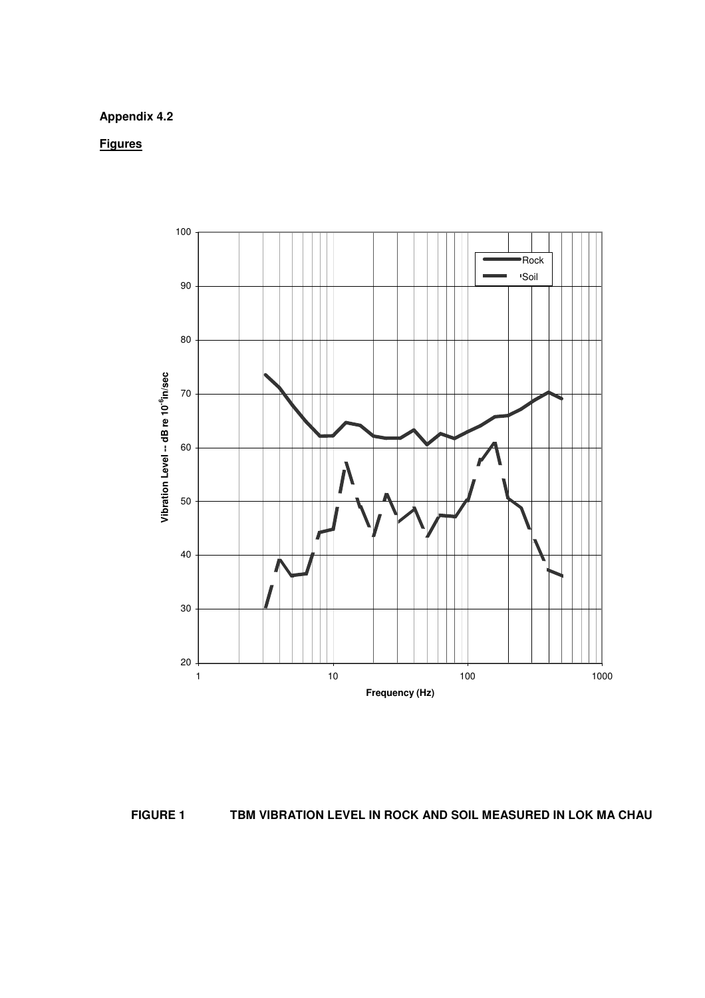## **Appendix 4.2**

**Figures**





**FIGURE 1 TBM VIBRATION LEVEL IN ROCK AND SOIL MEASURED IN LOK MA CHAU**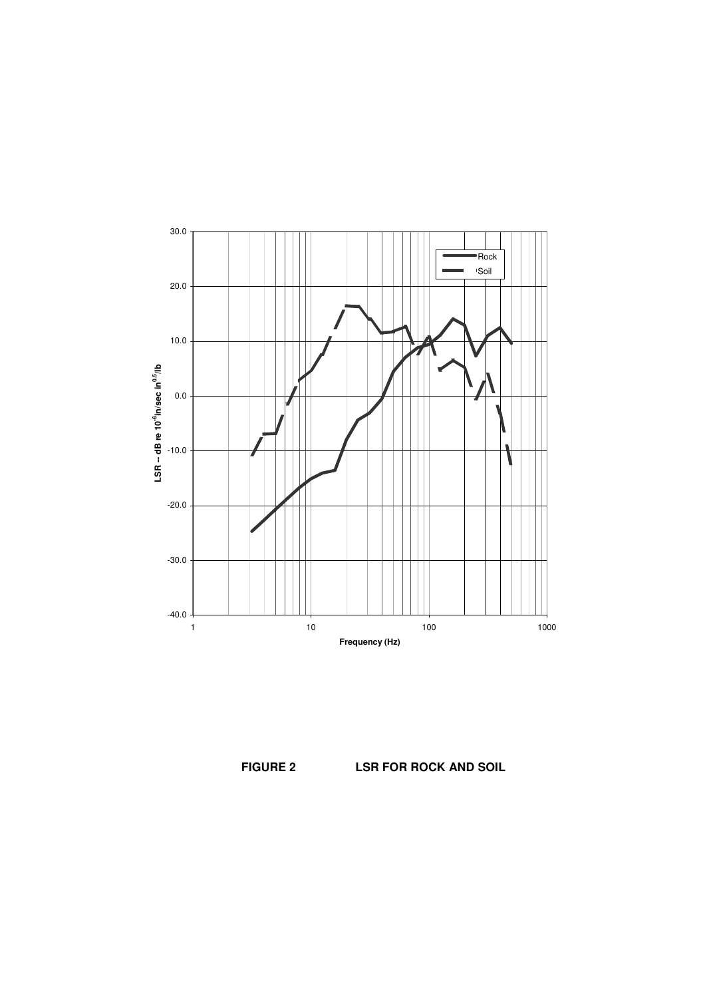

**FIGURE 2 LSR FOR ROCK AND SOIL**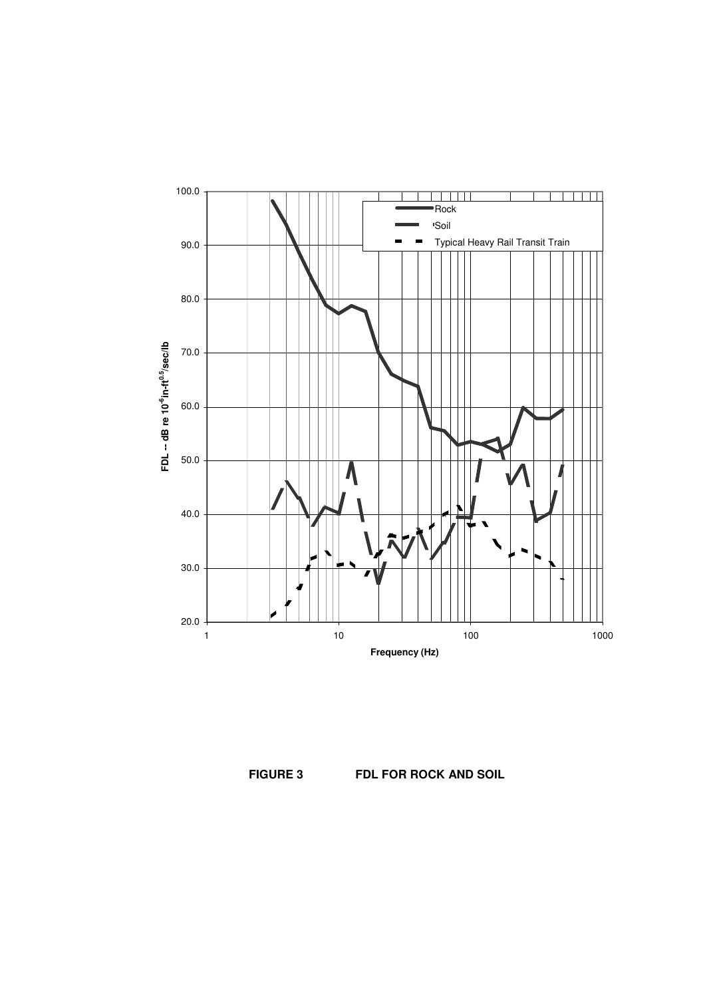

**FIGURE 3 FDL FOR ROCK AND SOIL**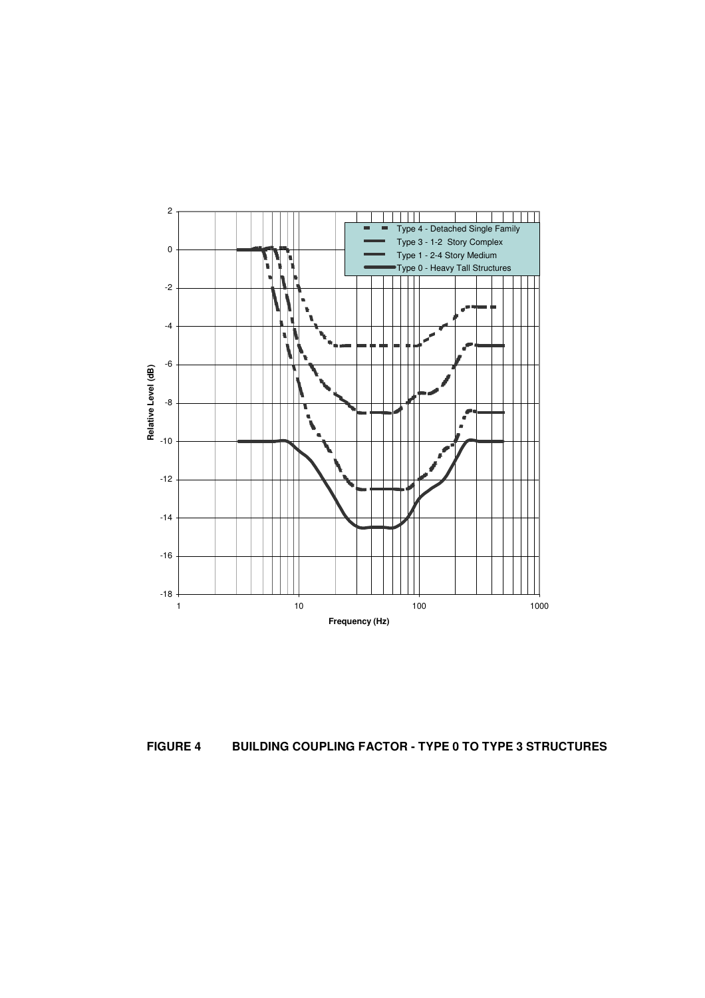